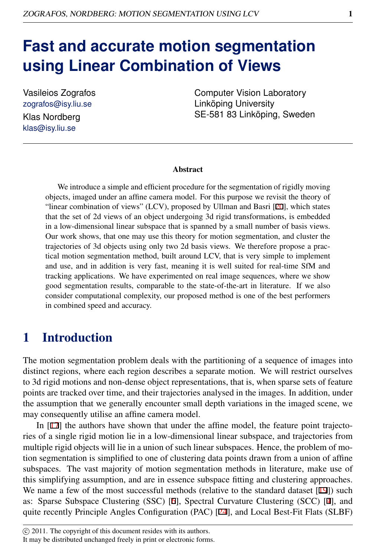# **Fast and accurate motion segmentation using Linear Combination of Views**

Vasileios Zografos zografos@isy.liu.se Klas Nordberg

klas@isy.liu.se

Computer Vision Laboratory Linköping University SE-581 83 Linköping, Sweden

#### **Abstract**

We introduce a simple and efficient procedure for the segmentation of rigidly moving objects, imaged under an affine camera model. For this purpose we revisit the theory of "linear combination of views" (LCV), proposed by Ullman and Basri [20], which states that the set of 2d views of an object undergoing 3d rigid transformations, is embedded in a low-dimensional linear subspace that is spanned by a small number of basis views. Our work shows, that one may use this theory for motion segmentation, and cluster the trajectories of 3d objects using only two 2d basis views. We therefore propose a practical motion segmentation method, built around LCV, that is very simple to implement and use, and in addition is very fast, meaning it is well suited for real-time SfM and tracking applications. We have experimented on real image sequences, where we show good segmentation results, comparable to the state-of-the-art in literature. If we also consider computational complexity, our proposed method is one of the best performers in combined speed and accuracy.

### 1 Introduction

The motion segmentation problem deals with the partitioning of a sequence of images into distinct regions, where each region describes a separate motion. We will restrict ourselves to 3d rigid motions and non-dense object representations, that is, when sparse sets of feature points are tracked over time, and their trajectories analysed in the images. In addition, under the assumption that we generally encounter small depth variations in the imaged scene, we may consequently utilise an affine camera model.

In [17] the authors have shown that under the affine model, the feature point trajectories of a single rigid motion lie in a low-dimensional linear subspace, and trajectories from multiple rigid objects will lie in a union of such linear subspaces. Hence, the problem of motion segmentation is simplified to one of clustering data points drawn from a union of affine subspaces. The vast majority of motion segmentation methods in literature, make use of this simplifying assumption, and are in essence subspace fitting and clustering approaches. We name a few of the most successful methods (relative to the standard dataset [19]) such as: Sparse Subspace Clustering (SSC) [6], Spectral Curvature Clustering (SCC) [4], and quite recently Principle Angles Configuration (PAC) [24], and Local Best-Fit Flats (SLBF)

c 2011. The copyright of this document resides with its authors.

It may be distributed unchanged freely in print or electronic forms.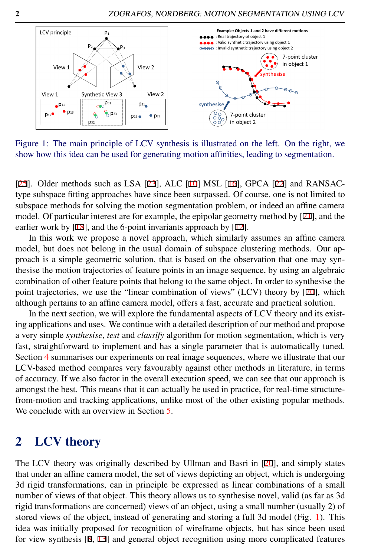

<span id="page-1-0"></span>Figure 1: The main principle of LCV synthesis is illustrated on the left. On the right, we show how this idea can be used for generating motion affinities, leading to segmentation.

[25]. Older methods such as LSA [23], ALC [10] MSL [16], GPCA [22] and RANSACtype subspace fitting approaches have since been surpassed. Of course, one is not limited to subspace methods for solving the motion segmentation problem, or indeed an affine camera model. Of particular interest are for example, the epipolar geometry method by  $[21]$ , and the earlier work by [18], and the 6-point invariants approach by [12].

In this work we propose a novel approach, which similarly assumes an affine camera model, but does not belong in the usual domain of subspace clustering methods. Our approach is a simple geometric solution, that is based on the observation that one may synthesise the motion trajectories of feature points in an image sequence, by using an algebraic combination of other feature points that belong to the same object. In order to synthesise the point trajectories, we use the "linear combination of views" (LCV) theory by [20], which although pertains to an affine camera model, offers a fast, accurate and practical solution.

In the next section, we will explore the fundamental aspects of LCV theory and its existing applications and uses. We continue with a detailed description of our method and propose a very simple *synthesise*, *test* and *classify* algorithm for motion segmentation, which is very fast, straightforward to implement and has a single parameter that is automatically tuned. Section [4](#page-6-0) summarises our experiments on real image sequences, where we illustrate that our LCV-based method compares very favourably against other methods in literature, in terms of accuracy. If we also factor in the overall execution speed, we can see that our approach is amongst the best. This means that it can actually be used in practice, for real-time structurefrom-motion and tracking applications, unlike most of the other existing popular methods. We conclude with an overview in Section [5.](#page-9-0)

### 2 LCV theory

The LCV theory was originally described by Ullman and Basri in [20], and simply states that under an affine camera model, the set of views depicting an object, which is undergoing 3d rigid transformations, can in principle be expressed as linear combinations of a small number of views of that object. This theory allows us to synthesise novel, valid (as far as 3d rigid transformations are concerned) views of an object, using a small number (usually 2) of stored views of the object, instead of generating and storing a full 3d model (Fig. [1\)](#page-1-0). This idea was initially proposed for recognition of wireframe objects, but has since been used for view synthesis [8, 13] and general object recognition using more complicated features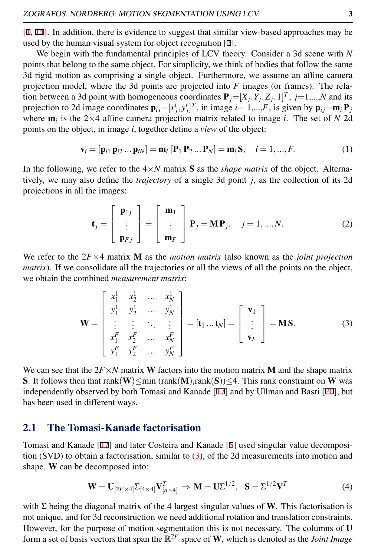[1, 14]. In addition, there is evidence to suggest that similar view-based approaches may be used by the human visual system for object recognition [2].

We begin with the fundamental principles of LCV theory. Consider a 3d scene with *N* points that belong to the same object. For simplicity, we think of bodies that follow the same 3d rigid motion as comprising a single object. Furthermore, we assume an affine camera projection model, where the 3d points are projected into *F* images (or frames). The relation between a 3d point with homogeneous coordinates  $P_j = [X_j, Y_j, Z_j, 1]^T$ ,  $j = 1, \dots, N$  and its projection to 2d image coordinates  $\mathbf{p}_{ij}=[x_j^i, y_j^i]^T$ , in image  $i=1,...,F$ , is given by  $\mathbf{p}_{ij}=\mathbf{m}_i \mathbf{P}_j$ where  $\mathbf{m}_i$  is the 2×4 affine camera projection matrix related to image *i*. The set of *N* 2d points on the object, in image *i*, together define a *view* of the object:

$$
\mathbf{v}_i = [\mathbf{p}_{i1} \, \mathbf{p}_{i2} \dots \mathbf{p}_{iN}] = \mathbf{m}_i \, [\mathbf{P}_1 \, \mathbf{P}_2 \dots \mathbf{P}_N] = \mathbf{m}_i \mathbf{S}, \quad i = 1, \dots, F. \tag{1}
$$

In the following, we refer to the  $4 \times N$  matrix **S** as the *shape matrix* of the object. Alternatively, we may also define the *trajectory* of a single 3d point *j*, as the collection of its 2d projections in all the images:

$$
\mathbf{t}_{j} = \begin{bmatrix} \mathbf{p}_{1j} \\ \vdots \\ \mathbf{p}_{Fj} \end{bmatrix} = \begin{bmatrix} \mathbf{m}_{1} \\ \vdots \\ \mathbf{m}_{F} \end{bmatrix} \mathbf{P}_{j} = \mathbf{M} \mathbf{P}_{j}, \quad j = 1,..., N.
$$
 (2)

We refer to the 2*F*×4 matrix M as the *motion matrix* (also known as the *joint projection matrix*). If we consolidate all the trajectories or all the views of all the points on the object, we obtain the combined *measurement matrix*:

<span id="page-2-0"></span>
$$
\mathbf{W} = \begin{bmatrix} x_1^1 & x_2^1 & \dots & x_N^1 \\ y_1^1 & y_2^1 & \dots & y_N^1 \\ \vdots & \vdots & \ddots & \vdots \\ x_1^F & x_2^F & \dots & x_N^F \\ y_1^F & y_2^F & \dots & y_N^F \end{bmatrix} = [\mathbf{t}_1 \dots \mathbf{t}_N] = \begin{bmatrix} \mathbf{v}_1 \\ \vdots \\ \mathbf{v}_F \end{bmatrix} = \mathbf{M} \mathbf{S}.
$$
 (3)

We can see that the  $2F \times N$  matrix W factors into the motion matrix M and the shape matrix S. It follows then that rank(W)≤min (rank(M),rank(S))≤4. This rank constraint on W was independently observed by both Tomasi and Kanade [17] and by Ullman and Basri [20], but has been used in different ways.

#### 2.1 The Tomasi-Kanade factorisation

Tomasi and Kanade [17] and later Costeira and Kanade [5] used singular value decomposition (SVD) to obtain a factorisation, similar to  $(3)$ , of the 2d measurements into motion and shape. W can be decomposed into:

$$
\mathbf{W} = \mathbf{U}_{[2F \times 4]} \Sigma_{[4 \times 4]} \mathbf{V}_{[n \times 4]}^T \Rightarrow \mathbf{M} = \mathbf{U} \Sigma^{1/2}, \quad \mathbf{S} = \Sigma^{1/2} \mathbf{V}^T
$$
 (4)

with  $\Sigma$  being the diagonal matrix of the 4 largest singular values of W. This factorisation is not unique, and for 3d reconstruction we need additional rotation and translation constraints. However, for the purpose of motion segmentation this is not necessary. The columns of U form a set of basis vectors that span the  $\mathbb{R}^{2F}$  space of W, which is denoted as the *Joint Image*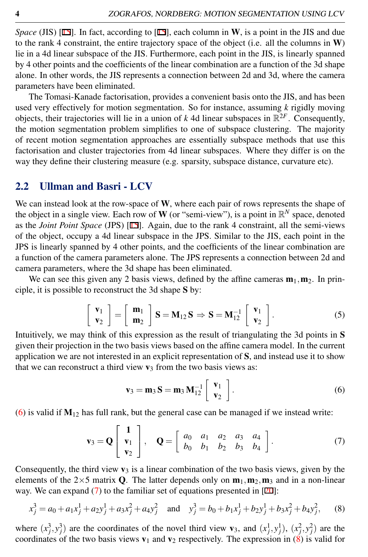*Space* (JIS) [15]. In fact, according to [15], each column in **W**, is a point in the JIS and due to the rank 4 constraint, the entire trajectory space of the object (i.e. all the columns in W) lie in a 4d linear subspace of the JIS. Furthermore, each point in the JIS, is linearly spanned by 4 other points and the coefficients of the linear combination are a function of the 3d shape alone. In other words, the JIS represents a connection between 2d and 3d, where the camera parameters have been eliminated.

The Tomasi-Kanade factorisation, provides a convenient basis onto the JIS, and has been used very effectively for motion segmentation. So for instance, assuming *k* rigidly moving objects, their trajectories will lie in a union of  $k$  4d linear subspaces in  $\mathbb{R}^{2F}$ . Consequently, the motion segmentation problem simplifies to one of subspace clustering. The majority of recent motion segmentation approaches are essentially subspace methods that use this factorisation and cluster trajectories from 4d linear subspaces. Where they differ is on the way they define their clustering measure (e.g. sparsity, subspace distance, curvature etc).

#### 2.2 Ullman and Basri - LCV

We can instead look at the row-space of W, where each pair of rows represents the shape of the object in a single view. Each row of **W** (or "semi-view"), is a point in  $\mathbb{R}^N$  space, denoted as the *Joint Point Space* (JPS) [15]. Again, due to the rank 4 constraint, all the semi-views of the object, occupy a 4d linear subspace in the JPS. Similar to the JIS, each point in the JPS is linearly spanned by 4 other points, and the coefficients of the linear combination are a function of the camera parameters alone. The JPS represents a connection between 2d and camera parameters, where the 3d shape has been eliminated.

We can see this given any 2 basis views, defined by the affine cameras  $m_1, m_2$ . In principle, it is possible to reconstruct the 3d shape S by:

$$
\begin{bmatrix} \mathbf{v}_1 \\ \mathbf{v}_2 \end{bmatrix} = \begin{bmatrix} \mathbf{m}_1 \\ \mathbf{m}_2 \end{bmatrix} \mathbf{S} = \mathbf{M}_{12} \mathbf{S} \Rightarrow \mathbf{S} = \mathbf{M}_{12}^{-1} \begin{bmatrix} \mathbf{v}_1 \\ \mathbf{v}_2 \end{bmatrix}.
$$
 (5)

Intuitively, we may think of this expression as the result of triangulating the 3d points in S given their projection in the two basis views based on the affine camera model. In the current application we are not interested in an explicit representation of S, and instead use it to show that we can reconstruct a third view  $v_3$  from the two basis views as:

<span id="page-3-2"></span><span id="page-3-1"></span><span id="page-3-0"></span>
$$
\mathbf{v}_3 = \mathbf{m}_3 \,\mathbf{S} = \mathbf{m}_3 \,\mathbf{M}_{12}^{-1} \left[ \begin{array}{c} \mathbf{v}_1 \\ \mathbf{v}_2 \end{array} \right]. \tag{6}
$$

[\(6\)](#page-3-0) is valid if  $M_{12}$  has full rank, but the general case can be managed if we instead write:

$$
\mathbf{v}_3 = \mathbf{Q} \begin{bmatrix} \mathbf{1} \\ \mathbf{v}_1 \\ \mathbf{v}_2 \end{bmatrix}, \quad \mathbf{Q} = \begin{bmatrix} a_0 & a_1 & a_2 & a_3 & a_4 \\ b_0 & b_1 & b_2 & b_3 & b_4 \end{bmatrix}.
$$
 (7)

Consequently, the third view  $\mathbf{v}_3$  is a linear combination of the two basis views, given by the elements of the  $2\times 5$  matrix Q. The latter depends only on  $m_1, m_2, m_3$  and in a non-linear way. We can expand [\(7\)](#page-3-1) to the familiar set of equations presented in [20]:

$$
x_j^3 = a_0 + a_1 x_j^1 + a_2 y_j^1 + a_3 x_j^2 + a_4 y_j^2 \quad \text{and} \quad y_j^3 = b_0 + b_1 x_j^1 + b_2 y_j^1 + b_3 x_j^2 + b_4 y_j^2,\tag{8}
$$

where  $(x_j^3, y_j^3)$  are the coordinates of the novel third view  $\mathbf{v}_3$ , and  $(x_j^1, y_j^1)$ ,  $(x_j^2, y_j^2)$  are the coordinates of the two basis views  $v_1$  and  $v_2$  respectively. The expression in [\(8\)](#page-3-2) is valid for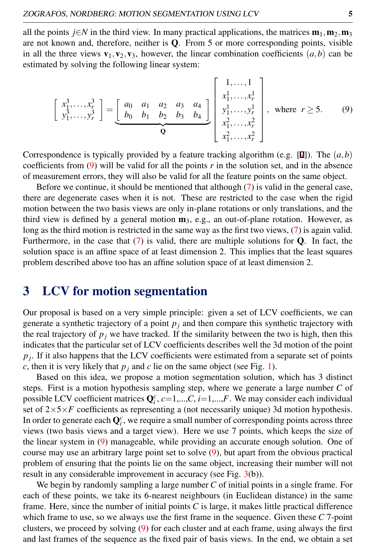all the points *j*∈*N* in the third view. In many practical applications, the matrices  $\mathbf{m}_1, \mathbf{m}_2, \mathbf{m}_3$ are not known and, therefore, neither is Q. From 5 or more corresponding points, visible in all the three views  $\mathbf{v}_1, \mathbf{v}_2, \mathbf{v}_3$ , however, the linear combination coefficients  $(a, b)$  can be estimated by solving the following linear system:

<span id="page-4-0"></span>
$$
\begin{bmatrix} x_1^3, \dots, x_r^3 \\ y_1^3, \dots, y_r^3 \end{bmatrix} = \underbrace{\begin{bmatrix} a_0 & a_1 & a_2 & a_3 & a_4 \\ b_0 & b_1 & b_2 & b_3 & b_4 \end{bmatrix}}_{\mathbf{Q}} \begin{bmatrix} 1, \dots, 1 \\ x_1^1, \dots, x_r^1 \\ y_1^1, \dots, y_r^1 \\ x_1^2, \dots, x_r^2 \\ x_1^2, \dots, x_r^2 \end{bmatrix}, \text{ where } r \ge 5. \tag{9}
$$

Correspondence is typically provided by a feature tracking algorithm (e.g. [9]). The  $(a,b)$ coefficients from  $(9)$  will be valid for all the points  $r$  in the solution set, and in the absence of measurement errors, they will also be valid for all the feature points on the same object.

Before we continue, it should be mentioned that although [\(7\)](#page-3-1) is valid in the general case, there are degenerate cases when it is not. These are restricted to the case when the rigid motion between the two basis views are only in-plane rotations or only translations, and the third view is defined by a general motion  $\mathbf{m}_3$ , e.g., an out-of-plane rotation. However, as long as the third motion is restricted in the same way as the first two views, [\(7\)](#page-3-1) is again valid. Furthermore, in the case that  $(7)$  is valid, there are multiple solutions for Q. In fact, the solution space is an affine space of at least dimension 2. This implies that the least squares problem described above too has an affine solution space of at least dimension 2.

### 3 LCV for motion segmentation

Our proposal is based on a very simple principle: given a set of LCV coefficients, we can generate a synthetic trajectory of a point  $p_i$  and then compare this synthetic trajectory with the real trajectory of  $p_j$  we have tracked. If the similarity between the two is high, then this indicates that the particular set of LCV coefficients describes well the 3d motion of the point *pj* . If it also happens that the LCV coefficients were estimated from a separate set of points *c*, then it is very likely that  $p_i$  and *c* lie on the same object (see Fig. [1\)](#page-1-0).

Based on this idea, we propose a motion segmentation solution, which has 3 distinct steps. First is a motion hypothesis sampling step, where we generate a large number *C* of possible LCV coefficient matrices  $Q_i^c$ ,  $c=1,...,C$ ,  $i=1,...,F$ . We may consider each individual set of  $2\times5\times F$  coefficients as representing a (not necessarily unique) 3d motion hypothesis. In order to generate each  $\mathbf{Q}^c_i$ , we require a small number of corresponding points across three views (two basis views and a target view). Here we use 7 points, which keeps the size of the linear system in [\(9\)](#page-4-0) manageable, while providing an accurate enough solution. One of course may use an arbitrary large point set to solve [\(9\)](#page-4-0), but apart from the obvious practical problem of ensuring that the points lie on the same object, increasing their number will not result in any considerable improvement in accuracy (see Fig.  $3(b)$  $3(b)$ ).

We begin by randomly sampling a large number *C* of initial points in a single frame. For each of these points, we take its 6-nearest neighbours (in Euclidean distance) in the same frame. Here, since the number of initial points *C* is large, it makes little practical difference which frame to use, so we always use the first frame in the sequence. Given these *C* 7-point clusters, we proceed by solving [\(9\)](#page-4-0) for each cluster and at each frame, using always the first and last frames of the sequence as the fixed pair of basis views. In the end, we obtain a set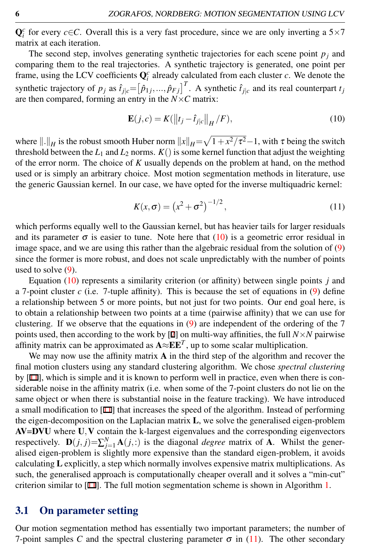$\mathbf{Q}_i^c$  for every *c*∈*C*. Overall this is a very fast procedure, since we are only inverting a 5×7 matrix at each iteration.

The second step, involves generating synthetic trajectories for each scene point  $p_j$  and comparing them to the real trajectories. A synthetic trajectory is generated, one point per frame, using the LCV coefficients  $\mathbf{Q}_i^c$  already calculated from each cluster *c*. We denote the synthetic trajectory of  $p_j$  as  $\hat{t}_{j|c} = [\hat{p}_{1j},...,\hat{p}_{Fj}]^T$ . A synthetic  $\hat{t}_{j|c}$  and its real counterpart  $t_j$ are then compared, forming an entry in the *N*×*C* matrix:

<span id="page-5-0"></span>
$$
\mathbf{E}(j,c) = K(||t_j - \hat{t}_{j|c}||_H / F),
$$
\n(10)

where  $\|.\|_H$  is the robust smooth Huber norm  $\|x\|_H = \sqrt{1+x^2/\tau^2} - 1$ , with  $\tau$  being the switch threshold between the  $L_1$  and  $L_2$  norms.  $K()$  is some kernel function that adjust the weighting of the error norm. The choice of *K* usually depends on the problem at hand, on the method used or is simply an arbitrary choice. Most motion segmentation methods in literature, use the generic Gaussian kernel. In our case, we have opted for the inverse multiquadric kernel:

<span id="page-5-1"></span>
$$
K(x,\sigma) = (x^2 + \sigma^2)^{-1/2},
$$
\n(11)

which performs equally well to the Gaussian kernel, but has heavier tails for larger residuals and its parameter  $\sigma$  is easier to tune. Note here that [\(10\)](#page-5-0) is a geometric error residual in image space, and we are using this rather than the algebraic residual from the solution of [\(9\)](#page-4-0) since the former is more robust, and does not scale unpredictably with the number of points used to solve  $(9)$ .

Equation [\(10\)](#page-5-0) represents a similarity criterion (or affinity) between single points *j* and a 7-point cluster  $c$  (i.e. 7-tuple affinity). This is because the set of equations in  $(9)$  define a relationship between 5 or more points, but not just for two points. Our end goal here, is to obtain a relationship between two points at a time (pairwise affinity) that we can use for clustering. If we observe that the equations in  $(9)$  are independent of the ordering of the 7 points used, then according to the work by [7] on multi-way affinities, the full  $N \times N$  pairwise affinity matrix can be approximated as  $A \approx E E^{T}$ , up to some scalar multiplication.

We may now use the affinity matrix  $A$  in the third step of the algorithm and recover the final motion clusters using any standard clustering algorithm. We chose *spectral clustering* by [11], which is simple and it is known to perform well in practice, even when there is considerable noise in the affinity matrix (i.e. when some of the 7-point clusters do not lie on the same object or when there is substantial noise in the feature tracking). We have introduced a small modification to  $[11]$  that increases the speed of the algorithm. Instead of performing the eigen-decomposition on the Laplacian matrix L, we solve the generalised eigen-problem AV=DVU where U,V contain the k-largest eigenvalues and the corresponding eigenvectors respectively.  $\mathbf{D}(j, j) = \sum_{j=1}^{N} \mathbf{A}(j, j)$  is the diagonal *degree* matrix of **A**. Whilst the generalised eigen-problem is slightly more expensive than the standard eigen-problem, it avoids calculating L explicitly, a step which normally involves expensive matrix multiplications. As such, the generalised approach is computationally cheaper overall and it solves a "min-cut" criterion similar to  $[11]$ . The full motion segmentation scheme is shown in Algorithm [1.](#page-6-1)

#### <span id="page-5-2"></span>3.1 On parameter setting

Our motion segmentation method has essentially two important parameters; the number of 7-point samples *C* and the spectral clustering parameter  $\sigma$  in [\(11\)](#page-5-1). The other secondary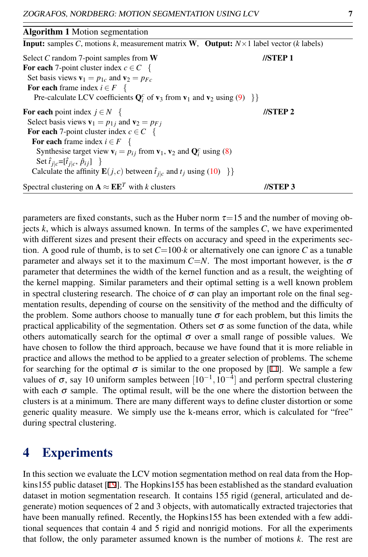| <b>Algorithm 1</b> Motion segmentation                                                                             |                    |  |  |  |
|--------------------------------------------------------------------------------------------------------------------|--------------------|--|--|--|
| <b>Input:</b> samples C, motions k, measurement matrix W, Output: $N \times 1$ label vector (k labels)             |                    |  |  |  |
| Select C random 7-point samples from W                                                                             | $\sqrt{\rm sTEP}1$ |  |  |  |
| For each 7-point cluster index $c \in C$ {                                                                         |                    |  |  |  |
| Set basis views $\mathbf{v}_1 = p_{1c}$ and $\mathbf{v}_2 = p_{Fc}$                                                |                    |  |  |  |
| For each frame index $i \in F$ {                                                                                   |                    |  |  |  |
| Pre-calculate LCV coefficients $Q_i^c$ of $v_3$ from $v_1$ and $v_2$ using (9) $\}$                                |                    |  |  |  |
| <b>For each point index</b> $j \in N$ {                                                                            | $\sqrt{S}$ TEP 2   |  |  |  |
| Select basis views $\mathbf{v}_1 = p_{1i}$ and $\mathbf{v}_2 = p_{Fi}$                                             |                    |  |  |  |
| For each 7-point cluster index $c \in C$ {                                                                         |                    |  |  |  |
| For each frame index $i \in F$ {                                                                                   |                    |  |  |  |
| Synthesise target view $\mathbf{v}_i = p_{ij}$ from $\mathbf{v}_1$ , $\mathbf{v}_2$ and $\mathbf{Q}_i^c$ using (8) |                    |  |  |  |
| Set $\hat{t}_{j c} = [\hat{t}_{j c}, \hat{p}_{ij}]$ }                                                              |                    |  |  |  |
| Calculate the affinity $\mathbf{E}(j,c)$ between $\hat{t}_{j c}$ and $t_j$ using (10) $\}$                         |                    |  |  |  |
| Spectral clustering on $\mathbf{A} \approx \mathbf{E} \mathbf{E}^T$ with k clusters                                | //STEP 3           |  |  |  |

<span id="page-6-1"></span>parameters are fixed constants, such as the Huber norm  $\tau=15$  and the number of moving objects *k*, which is always assumed known. In terms of the samples *C*, we have experimented with different sizes and present their effects on accuracy and speed in the experiments section. A good rule of thumb, is to set  $C=100$ *·k* or alternatively one can ignore C as a tunable parameter and always set it to the maximum  $C=N$ . The most important however, is the  $\sigma$ parameter that determines the width of the kernel function and as a result, the weighting of the kernel mapping. Similar parameters and their optimal setting is a well known problem in spectral clustering research. The choice of  $\sigma$  can play an important role on the final segmentation results, depending of course on the sensitivity of the method and the difficulty of the problem. Some authors choose to manually tune  $\sigma$  for each problem, but this limits the practical applicability of the segmentation. Others set  $\sigma$  as some function of the data, while others automatically search for the optimal  $\sigma$  over a small range of possible values. We have chosen to follow the third approach, because we have found that it is more reliable in practice and allows the method to be applied to a greater selection of problems. The scheme for searching for the optimal  $\sigma$  is similar to the one proposed by [11]. We sample a few values of  $\sigma$ , say 10 uniform samples between  $[10^{-1}, 10^{-4}]$  and perform spectral clustering with each  $\sigma$  sample. The optimal result, will be the one where the distortion between the clusters is at a minimum. There are many different ways to define cluster distortion or some generic quality measure. We simply use the k-means error, which is calculated for "free" during spectral clustering.

#### <span id="page-6-0"></span>4 Experiments

In this section we evaluate the LCV motion segmentation method on real data from the Hopkins155 public dataset [19]. The Hopkins155 has been established as the standard evaluation dataset in motion segmentation research. It contains 155 rigid (general, articulated and degenerate) motion sequences of 2 and 3 objects, with automatically extracted trajectories that have been manually refined. Recently, the Hopkins155 has been extended with a few additional sequences that contain 4 and 5 rigid and nonrigid motions. For all the experiments that follow, the only parameter assumed known is the number of motions *k*. The rest are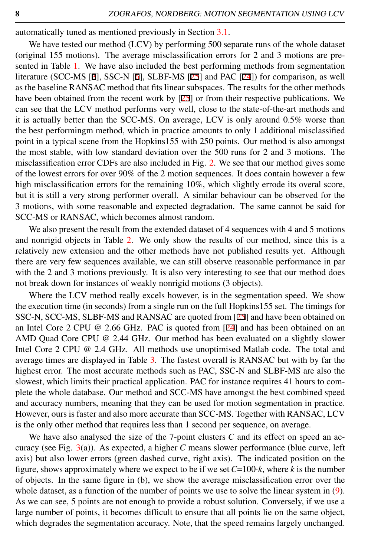automatically tuned as mentioned previously in Section [3.1.](#page-5-2)

We have tested our method (LCV) by performing 500 separate runs of the whole dataset (original 155 motions). The average misclassification errors for 2 and 3 motions are presented in Table [1.](#page-8-1) We have also included the best performing methods from segmentation literature (SCC-MS [3], SSC-N [6], SLBF-MS [25] and PAC [24]) for comparison, as well as the baseline RANSAC method that fits linear subspaces. The results for the other methods have been obtained from the recent work by [25] or from their respective publications. We can see that the LCV method performs very well, close to the state-of-the-art methods and it is actually better than the SCC-MS. On average, LCV is only around 0.5% worse than the best performingm method, which in practice amounts to only 1 additional misclassified point in a typical scene from the Hopkins155 with 250 points. Our method is also amongst the most stable, with low standard deviation over the 500 runs for 2 and 3 motions. The misclassification error CDFs are also included in Fig. [2.](#page-8-2) We see that our method gives some of the lowest errors for over 90% of the 2 motion sequences. It does contain however a few high misclassification errors for the remaining 10%, which slightly errode its overal score, but it is still a very strong performer overall. A similar behaviour can be observed for the 3 motions, with some reasonable and expected degradation. The same cannot be said for SCC-MS or RANSAC, which becomes almost random.

We also present the result from the extended dataset of 4 sequences with 4 and 5 motions and nonrigid objects in Table [2.](#page-8-3) We only show the results of our method, since this is a relatively new extension and the other methods have not published results yet. Although there are very few sequences available, we can still observe reasonable performance in par with the 2 and 3 motions previously. It is also very interesting to see that our method does not break down for instances of weakly nonrigid motions (3 objects).

Where the LCV method really excels however, is in the segmentation speed. We show the execution time (in seconds) from a single run on the full Hopkins155 set. The timings for SSC-N, SCC-MS, SLBF-MS and RANSAC are quoted from [25] and have been obtained on an Intel Core 2 CPU @ 2.66 GHz. PAC is quoted from [24] and has been obtained on an AMD Quad Core CPU @ 2.44 GHz. Our method has been evaluated on a slightly slower Intel Core 2 CPU @ 2.4 GHz. All methods use unoptimised Matlab code. The total and average times are displayed in Table [3.](#page-8-4) The fastest overall is RANSAC but with by far the highest error. The most accurate methods such as PAC, SSC-N and SLBF-MS are also the slowest, which limits their practical application. PAC for instance requires 41 hours to complete the whole database. Our method and SCC-MS have amongst the best combined speed and accuracy numbers, meaning that they can be used for motion segmentation in practice. However, ours is faster and also more accurate than SCC-MS. Together with RANSAC, LCV is the only other method that requires less than 1 second per sequence, on average.

We have also analysed the size of the 7-point clusters *C* and its effect on speed an accuracy (see Fig. [3\(](#page-8-0)a)). As expected, a higher *C* means slower performance (blue curve, left axis) but also lower errors (green dashed curve, right axis). The indicated position on the figure, shows approximately where we expect to be if we set *C*=100·*k*, where *k* is the number of objects. In the same figure in (b), we show the average misclassification error over the whole dataset, as a function of the number of points we use to solve the linear system in [\(9\)](#page-4-0). As we can see, 5 points are not enough to provide a robust solution. Conversely, if we use a large number of points, it becomes difficult to ensure that all points lie on the same object, which degrades the segmentation accuracy. Note, that the speed remains largely unchanged.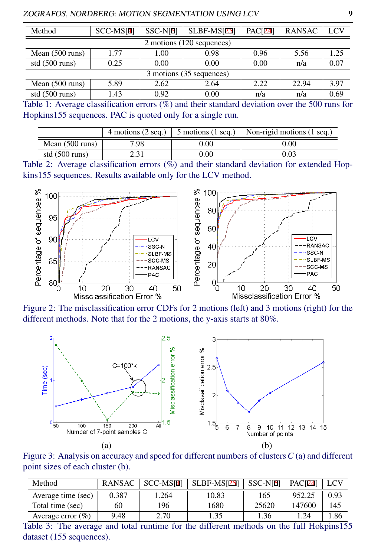| Method                    | SCC-MS <sup>[4]</sup> | $SSC-N[6]$ | $SLBF-MS[25]$ | <b>PAC[24]</b> | <b>RANSAC</b> | LCV  |  |
|---------------------------|-----------------------|------------|---------------|----------------|---------------|------|--|
| 2 motions (120 sequences) |                       |            |               |                |               |      |  |
| Mean $(500 \text{ runs})$ | 1.77                  | 1.00       | 0.98          | 0.96           | 5.56          | 1.25 |  |
| std $(500 \text{ runs})$  | 0.25                  | 0.00       | 0.00          | 0.00           | n/a           | 0.07 |  |
| 3 motions (35 sequences)  |                       |            |               |                |               |      |  |
| Mean $(500 \text{ runs})$ | 5.89                  | 2.62       | 2.64          | 2.22           | 22.94         | 3.97 |  |
| std $(500 \text{ runs})$  | 1.43                  | 0.92       | 0.00          | n/a            | n/a           | 0.69 |  |

<span id="page-8-1"></span>Table 1: Average classification errors (%) and their standard deviation over the 500 runs for Hopkins155 sequences. PAC is quoted only for a single run.

<span id="page-8-3"></span>

|                           | 4 motions (2 seq.) | $5$ motions $(1$ seq.) | Non-rigid motions (1 seq.) |
|---------------------------|--------------------|------------------------|----------------------------|
| Mean $(500 \text{ runs})$ | 7.98               | $0.00\,$               | 0.00                       |
| std $(500 \text{ runs})$  | 2.31               | $0.00\,$               | 0.03                       |

Table 2: Average classification errors (%) and their standard deviation for extended Hopkins155 sequences. Results available only for the LCV method.

<span id="page-8-2"></span>

Figure 2: The misclassification error CDFs for 2 motions (left) and 3 motions (right) for the different methods. Note that for the 2 motions, the y-axis starts at 80%.

<span id="page-8-0"></span>

Figure 3: Analysis on accuracy and speed for different numbers of clusters*C* (a) and different point sizes of each cluster (b).

<span id="page-8-4"></span>

| Method                | <b>RANSAC</b> | SCC-MS <sub>[4]</sub> | $SLBF\text{-}MS[25]$ | SSC-N <sub>[6]</sub> | <b>PAC[24]</b> |      |
|-----------------------|---------------|-----------------------|----------------------|----------------------|----------------|------|
| Average time (sec)    | 0.387         | .264                  | 10.83                | 165                  | 952.25         | 0.93 |
| Total time (sec)      | 60            | 196                   | 1680                 | 25620                | 147600         | 145  |
| Average error $(\% )$ | 9.48          | 2.70                  | .35                  | 1.36                 | 1.24           | .86  |

Table 3: The average and total runtime for the different methods on the full Hokpins155 dataset (155 sequences).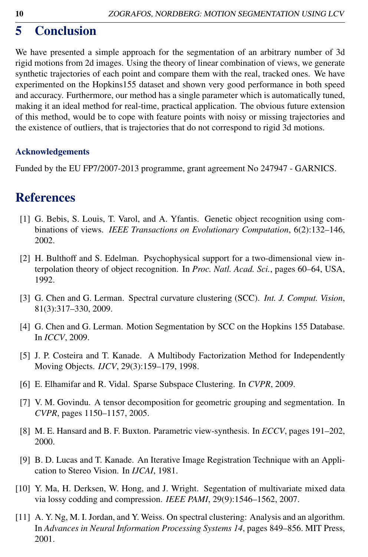## <span id="page-9-0"></span>5 Conclusion

We have presented a simple approach for the segmentation of an arbitrary number of 3d rigid motions from 2d images. Using the theory of linear combination of views, we generate synthetic trajectories of each point and compare them with the real, tracked ones. We have experimented on the Hopkins155 dataset and shown very good performance in both speed and accuracy. Furthermore, our method has a single parameter which is automatically tuned, making it an ideal method for real-time, practical application. The obvious future extension of this method, would be to cope with feature points with noisy or missing trajectories and the existence of outliers, that is trajectories that do not correspond to rigid 3d motions.

#### Acknowledgements

Funded by the EU FP7/2007-2013 programme, grant agreement No 247947 - GARNICS.

### **References**

- [1] G. Bebis, S. Louis, T. Varol, and A. Yfantis. Genetic object recognition using combinations of views. *IEEE Transactions on Evolutionary Computation*, 6(2):132–146, 2002.
- [2] H. Bulthoff and S. Edelman. Psychophysical support for a two-dimensional view interpolation theory of object recognition. In *Proc. Natl. Acad. Sci.*, pages 60–64, USA, 1992.
- [3] G. Chen and G. Lerman. Spectral curvature clustering (SCC). *Int. J. Comput. Vision*, 81(3):317–330, 2009.
- [4] G. Chen and G. Lerman. Motion Segmentation by SCC on the Hopkins 155 Database. In *ICCV*, 2009.
- [5] J. P. Costeira and T. Kanade. A Multibody Factorization Method for Independently Moving Objects. *IJCV*, 29(3):159–179, 1998.
- [6] E. Elhamifar and R. Vidal. Sparse Subspace Clustering. In *CVPR*, 2009.
- [7] V. M. Govindu. A tensor decomposition for geometric grouping and segmentation. In *CVPR*, pages 1150–1157, 2005.
- [8] M. E. Hansard and B. F. Buxton. Parametric view-synthesis. In *ECCV*, pages 191–202, 2000.
- [9] B. D. Lucas and T. Kanade. An Iterative Image Registration Technique with an Application to Stereo Vision. In *IJCAI*, 1981.
- [10] Y. Ma, H. Derksen, W. Hong, and J. Wright. Segentation of multivariate mixed data via lossy codding and compression. *IEEE PAMI*, 29(9):1546–1562, 2007.
- [11] A. Y. Ng, M. I. Jordan, and Y. Weiss. On spectral clustering: Analysis and an algorithm. In *Advances in Neural Information Processing Systems 14*, pages 849–856. MIT Press, 2001.